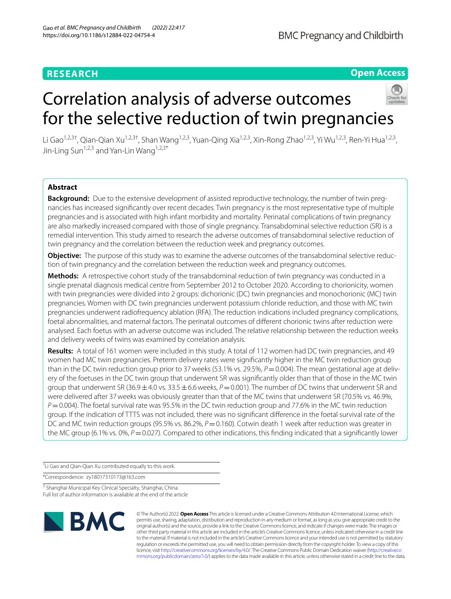# **RESEARCH**

# **Open Access**

# Correlation analysis of adverse outcomes for the selective reduction of twin pregnancies



Li Gao<sup>1,2,3†</sup>, Qian-Qian Xu<sup>1,2,3†</sup>, Shan Wang<sup>1,2,3</sup>, Yuan-Qing Xia<sup>1,2,3</sup>, Xin-Rong Zhao<sup>1,2,3</sup>, Yi Wu<sup>1,2,3</sup>, Ren-Yi Hua<sup>1,2,3</sup>, Jin-Ling Sun<sup>1,2,3</sup> and Yan-Lin Wang<sup>1,2,3\*</sup>

# **Abstract**

**Background:** Due to the extensive development of assisted reproductive technology, the number of twin pregnancies has increased signifcantly over recent decades. Twin pregnancy is the most representative type of multiple pregnancies and is associated with high infant morbidity and mortality. Perinatal complications of twin pregnancy are also markedly increased compared with those of single pregnancy. Transabdominal selective reduction (SR) is a remedial intervention. This study aimed to research the adverse outcomes of transabdominal selective reduction of twin pregnancy and the correlation between the reduction week and pregnancy outcomes.

**Objective:** The purpose of this study was to examine the adverse outcomes of the transabdominal selective reduction of twin pregnancy and the correlation between the reduction week and pregnancy outcomes.

**Methods:** A retrospective cohort study of the transabdominal reduction of twin pregnancy was conducted in a single prenatal diagnosis medical centre from September 2012 to October 2020. According to chorionicity, women with twin pregnancies were divided into 2 groups: dichorionic (DC) twin pregnancies and monochorionic (MC) twin pregnancies. Women with DC twin pregnancies underwent potassium chloride reduction, and those with MC twin pregnancies underwent radiofrequency ablation (RFA). The reduction indications included pregnancy complications, foetal abnormalities, and maternal factors. The perinatal outcomes of diferent chorionic twins after reduction were analysed. Each foetus with an adverse outcome was included. The relative relationship between the reduction weeks and delivery weeks of twins was examined by correlation analysis.

**Results:** A total of 161 women were included in this study. A total of 112 women had DC twin pregnancies, and 49 women had MC twin pregnancies. Preterm delivery rates were signifcantly higher in the MC twin reduction group than in the DC twin reduction group prior to 37 weeks (53.1% vs. 29.5%,  $P = 0.004$ ). The mean gestational age at delivery of the foetuses in the DC twin group that underwent SR was signifcantly older than that of those in the MC twin group that underwent SR (36.9 $\pm$ 4.0 vs. 33.5 $\pm$ 6.6 weeks,  $P$  = 0.001). The number of DC twins that underwent SR and were delivered after 37weeks was obviously greater than that of the MC twins that underwent SR (70.5% vs. 46.9%, *P*=0.004). The foetal survival rate was 95.5% in the DC twin reduction group and 77.6% in the MC twin reduction group. If the indication of TTTS was not included, there was no signifcant diference in the foetal survival rate of the DC and MC twin reduction groups (95.5% vs. 86.2%,  $P = 0.160$ ). Cotwin death 1 week after reduction was greater in the MC group (6.1% vs. 0%,  $P = 0.027$ ). Compared to other indications, this finding indicated that a significantly lower

† Li Gao and Qian-Qian Xu contributed equally to this work.

\*Correspondence: zy18017310173@163.com

<sup>3</sup> Shanghai Municipal Key Clinical Specialty, Shanghai, China Full list of author information is available at the end of the article



© The Author(s) 2022. **Open Access** This article is licensed under a Creative Commons Attribution 4.0 International License, which permits use, sharing, adaptation, distribution and reproduction in any medium or format, as long as you give appropriate credit to the original author(s) and the source, provide a link to the Creative Commons licence, and indicate if changes were made. The images or other third party material in this article are included in the article's Creative Commons licence, unless indicated otherwise in a credit line to the material. If material is not included in the article's Creative Commons licence and your intended use is not permitted by statutory regulation or exceeds the permitted use, you will need to obtain permission directly from the copyright holder. To view a copy of this licence, visit [http://creativecommons.org/licenses/by/4.0/.](http://creativecommons.org/licenses/by/4.0/) The Creative Commons Public Domain Dedication waiver ([http://creativeco](http://creativecommons.org/publicdomain/zero/1.0/) [mmons.org/publicdomain/zero/1.0/](http://creativecommons.org/publicdomain/zero/1.0/)) applies to the data made available in this article, unless otherwise stated in a credit line to the data.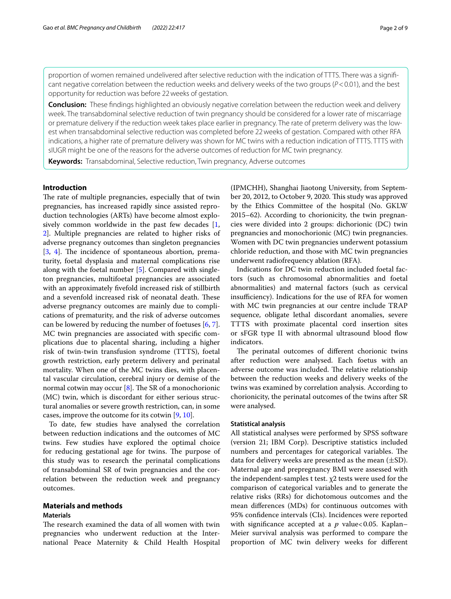proportion of women remained undelivered after selective reduction with the indication of TTTS. There was a significant negative correlation between the reduction weeks and delivery weeks of the two groups (*P*<0.01), and the best opportunity for reduction was before 22weeks of gestation.

**Conclusion:** These fndings highlighted an obviously negative correlation between the reduction week and delivery week. The transabdominal selective reduction of twin pregnancy should be considered for a lower rate of miscarriage or premature delivery if the reduction week takes place earlier in pregnancy. The rate of preterm delivery was the lowest when transabdominal selective reduction was completed before 22weeks of gestation. Compared with other RFA indications, a higher rate of premature delivery was shown for MC twins with a reduction indication of TTTS. TTTS with sIUGR might be one of the reasons for the adverse outcomes of reduction for MC twin pregnancy.

**Keywords:** Transabdominal, Selective reduction, Twin pregnancy, Adverse outcomes

# **Introduction**

The rate of multiple pregnancies, especially that of twin pregnancies, has increased rapidly since assisted reproduction technologies (ARTs) have become almost explosively common worldwide in the past few decades [\[1](#page-7-0), [2\]](#page-7-1). Multiple pregnancies are related to higher risks of adverse pregnancy outcomes than singleton pregnancies [[3,](#page-7-2) [4](#page-7-3)]. The incidence of spontaneous abortion, prematurity, foetal dysplasia and maternal complications rise along with the foetal number [[5\]](#page-7-4). Compared with singleton pregnancies, multifoetal pregnancies are associated with an approximately fvefold increased risk of stillbirth and a sevenfold increased risk of neonatal death. These adverse pregnancy outcomes are mainly due to complications of prematurity, and the risk of adverse outcomes can be lowered by reducing the number of foetuses [[6,](#page-7-5) [7](#page-7-6)]. MC twin pregnancies are associated with specifc complications due to placental sharing, including a higher risk of twin-twin transfusion syndrome (TTTS), foetal growth restriction, early preterm delivery and perinatal mortality. When one of the MC twins dies, with placental vascular circulation, cerebral injury or demise of the normal cotwin may occur  $[8]$  $[8]$ . The SR of a monochorionic (MC) twin, which is discordant for either serious structural anomalies or severe growth restriction, can, in some cases, improve the outcome for its cotwin [[9,](#page-7-8) [10](#page-7-9)].

To date, few studies have analysed the correlation between reduction indications and the outcomes of MC twins. Few studies have explored the optimal choice for reducing gestational age for twins. The purpose of this study was to research the perinatal complications of transabdominal SR of twin pregnancies and the correlation between the reduction week and pregnancy outcomes.

# **Materials and methods**

## **Materials**

The research examined the data of all women with twin pregnancies who underwent reduction at the International Peace Maternity & Child Health Hospital (IPMCHH), Shanghai Jiaotong University, from September 20, 2012, to October 9, 2020. This study was approved by the Ethics Committee of the hospital (No. GKLW 2015–62). According to chorionicity, the twin pregnancies were divided into 2 groups: dichorionic (DC) twin pregnancies and monochorionic (MC) twin pregnancies. Women with DC twin pregnancies underwent potassium chloride reduction, and those with MC twin pregnancies underwent radiofrequency ablation (RFA).

Indications for DC twin reduction included foetal factors (such as chromosomal abnormalities and foetal abnormalities) and maternal factors (such as cervical insufficiency). Indications for the use of RFA for women with MC twin pregnancies at our centre include TRAP sequence, obligate lethal discordant anomalies, severe TTTS with proximate placental cord insertion sites or sFGR type II with abnormal ultrasound blood fow indicators.

The perinatal outcomes of different chorionic twins after reduction were analysed. Each foetus with an adverse outcome was included. The relative relationship between the reduction weeks and delivery weeks of the twins was examined by correlation analysis. According to chorionicity, the perinatal outcomes of the twins after SR were analysed.

### **Statistical analysis**

All statistical analyses were performed by SPSS software (version 21; IBM Corp). Descriptive statistics included numbers and percentages for categorical variables. The data for delivery weeks are presented as the mean  $(\pm SD)$ . Maternal age and prepregnancy BMI were assessed with the independent-samples t test.  $x^2$  tests were used for the comparison of categorical variables and to generate the relative risks (RRs) for dichotomous outcomes and the mean diferences (MDs) for continuous outcomes with 95% confdence intervals (CIs). Incidences were reported with significance accepted at a *p* value<0.05. Kaplan– Meier survival analysis was performed to compare the proportion of MC twin delivery weeks for diferent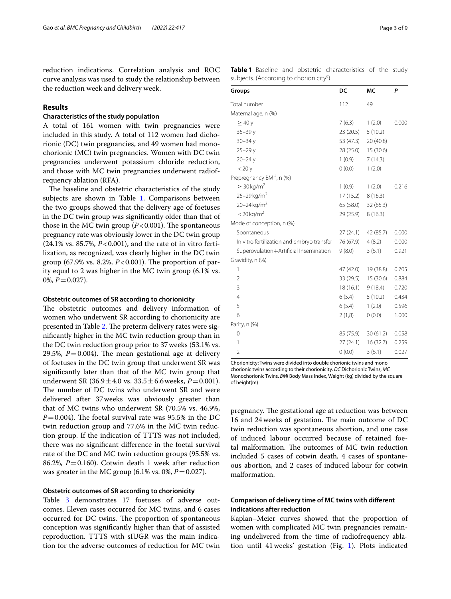reduction indications. Correlation analysis and ROC curve analysis was used to study the relationship between the reduction week and delivery week.

# **Results**

## **Characteristics of the study population**

A total of 161 women with twin pregnancies were included in this study. A total of 112 women had dichorionic (DC) twin pregnancies, and 49 women had monochorionic (MC) twin pregnancies. Women with DC twin pregnancies underwent potassium chloride reduction, and those with MC twin pregnancies underwent radiofrequency ablation (RFA).

The baseline and obstetric characteristics of the study subjects are shown in Table [1](#page-2-0). Comparisons between the two groups showed that the delivery age of foetuses in the DC twin group was signifcantly older than that of those in the MC twin group  $(P<0.001)$ . The spontaneous pregnancy rate was obviously lower in the DC twin group (24.1% vs. 85.7%, *P*<0.001), and the rate of in vitro fertilization, as recognized, was clearly higher in the DC twin group (67.9% vs. 8.2%,  $P < 0.001$ ). The proportion of parity equal to 2 was higher in the MC twin group (6.1% vs.  $0\%, P=0.027$ .

#### **Obstetric outcomes of SR according to chorionicity**

The obstetric outcomes and delivery information of women who underwent SR according to chorionicity are presented in Table [2](#page-3-0). The preterm delivery rates were signifcantly higher in the MC twin reduction group than in the DC twin reduction group prior to 37weeks (53.1% vs. 29.5%,  $P = 0.004$ ). The mean gestational age at delivery of foetuses in the DC twin group that underwent SR was signifcantly later than that of the MC twin group that underwent SR  $(36.9 \pm 4.0 \text{ vs. } 33.5 \pm 6.6 \text{ weeks}, P = 0.001)$ . The number of DC twins who underwent SR and were delivered after 37weeks was obviously greater than that of MC twins who underwent SR (70.5% vs. 46.9%,  $P=0.004$ ). The foetal survival rate was 95.5% in the DC twin reduction group and 77.6% in the MC twin reduction group. If the indication of TTTS was not included, there was no signifcant diference in the foetal survival rate of the DC and MC twin reduction groups (95.5% vs. 86.2%,  $P = 0.160$ ). Cotwin death 1 week after reduction was greater in the MC group  $(6.1\% \text{ vs. } 0\%, P = 0.027)$ .

# **Obstetric outcomes of SR according to chorionicity**

Table [3](#page-3-1) demonstrates 17 foetuses of adverse outcomes. Eleven cases occurred for MC twins, and 6 cases occurred for DC twins. The proportion of spontaneous conception was signifcantly higher than that of assisted reproduction. TTTS with sIUGR was the main indication for the adverse outcomes of reduction for MC twin <span id="page-2-0"></span>**Table 1** Baseline and obstetric characteristics of the study subjects. (According to chorionicity<sup>a</sup>)

| Groups                                     | DC        | МC        | Ρ     |
|--------------------------------------------|-----------|-----------|-------|
| Total number                               | 112       | 49        |       |
| Maternal age, n (%)                        |           |           |       |
| $\geq 40y$                                 | 7(6.3)    | 1(2.0)    | 0.000 |
| $35 - 39y$                                 | 23 (20.5) | 5(10.2)   |       |
| $30 - 34y$                                 | 53 (47.3) | 20 (40.8) |       |
| $25 - 29y$                                 | 28 (25.0) | 15(30.6)  |       |
| $20 - 24y$                                 | 1(0.9)    | 7(14.3)   |       |
| $<$ 20 $y$                                 | (0.0)     | 1(2.0)    |       |
| Prepregnancy BMI <sup>a</sup> , n (%)      |           |           |       |
| $\geq 30$ kg/m <sup>2</sup>                | 1(0.9)    | 1(2.0)    | 0.216 |
| 25-29 kg/m <sup>2</sup>                    | 17 (15.2) | 8(16.3)   |       |
| $20 - 24$ kg/m <sup>2</sup>                | 65 (58.0) | 32 (65.3) |       |
| $<$ 20 kg/m <sup>2</sup>                   | 29 (25.9) | 8(16.3)   |       |
| Mode of conception, n (%)                  |           |           |       |
| Spontaneous                                | 27(24.1)  | 42 (85.7) | 0.000 |
| In vitro fertilization and embryo transfer | 76 (67.9) | 4(8.2)    | 0.000 |
| Superovulation+Artificial Insemination     | 9(8.0)    | 3(6.1)    | 0.921 |
| Gravidity, n (%)                           |           |           |       |
| 1                                          | 47 (42.0) | 19 (38.8) | 0.705 |
| $\overline{2}$                             | 33 (29.5) | 15 (30.6) | 0.884 |
| 3                                          | 18 (16.1) | 9(18.4)   | 0.720 |
| $\overline{4}$                             | 6(5.4)    | 5(10.2)   | 0.434 |
| 5                                          | 6(5.4)    | 1(2.0)    | 0.596 |
| 6                                          | 2(1,8)    | 0(0.0)    | 1.000 |
| Parity, n (%)                              |           |           |       |
| 0                                          | 85 (75.9) | 30(61.2)  | 0.058 |
| 1                                          | 27(24.1)  | 16(32.7)  | 0.259 |
| $\overline{2}$                             | 0(0.0)    | 3(6.1)    | 0.027 |

Chorionicity: Twins were divided into double chorionic twins and mono chorionic twins according to their chorionicity. *DC* Dichorionic Twins, *MC* Monochorionic Twins. *BMI* Body Mass Index, Weight (kg) divided by the square of height(m)

pregnancy. The gestational age at reduction was between 16 and 24 weeks of gestation. The main outcome of DC twin reduction was spontaneous abortion, and one case of induced labour occurred because of retained foetal malformation. The outcomes of MC twin reduction included 5 cases of cotwin death, 4 cases of spontaneous abortion, and 2 cases of induced labour for cotwin malformation.

# **Comparison of delivery time of MC twins with diferent indications after reduction**

Kaplan–Meier curves showed that the proportion of women with complicated MC twin pregnancies remaining undelivered from the time of radiofrequency ablation until 41weeks' gestation (Fig. [1](#page-4-0)). Plots indicated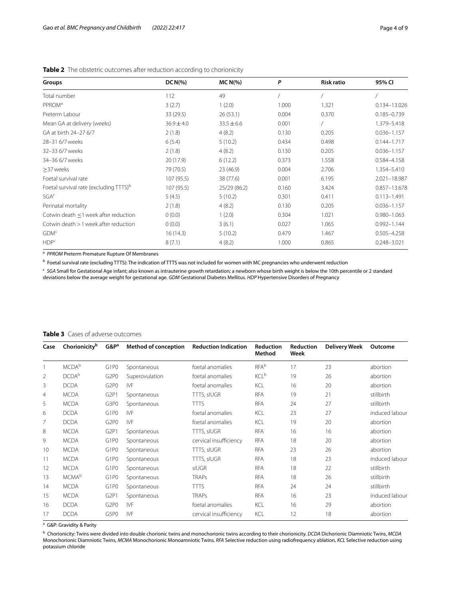| Groups                                             | $DCN(\% )$     | $MC N(\%)$     | P     | <b>Risk ratio</b> | 95% CI           |
|----------------------------------------------------|----------------|----------------|-------|-------------------|------------------|
| Total number                                       | 112            | 49             |       |                   |                  |
| PPROM <sup>a</sup>                                 | 3(2.7)         | 1(2.0)         | 1.000 | 1.321             | 0.134-13.026     |
| Preterm Labour                                     | 33 (29.5)      | 26(53.1)       | 0.004 | 0.370             | $0.185 - 0.739$  |
| Mean GA at delivery (weeks)                        | $36.9 \pm 4.0$ | $33.5 \pm 6.6$ | 0.001 |                   | 1.379-5.418      |
| GA at birth 24-27 6/7                              | 2(1.8)         | 4(8.2)         | 0.130 | 0.205             | $0.036 - 1.157$  |
| 28-31 6/7 weeks                                    | 6(5.4)         | 5(10.2)        | 0.434 | 0.498             | $0.144 - 1.717$  |
| 32-33 6/7 weeks                                    | 2(1.8)         | 4(8.2)         | 0.130 | 0.205             | $0.036 - 1.157$  |
| 34-36 6/7 weeks                                    | 20 (17.9)      | 6(12.2)        | 0.373 | 1.558             | 0.584-4.158      |
| >37 weeks                                          | 79 (70.5)      | 23 (46.9)      | 0.004 | 2.706             | 1.354-5.410      |
| Foetal survival rate                               | 107(95.5)      | 38 (77.6)      | 0.001 | 6.195             | 2.021-18.987     |
| Foetal survival rate (excluding TTTS) <sup>b</sup> | 107(95.5)      | 25/29 (86.2)   | 0.160 | 3.424             | $0.857 - 13.678$ |
| SGA <sup>c</sup>                                   | 5(4.5)         | 5(10.2)        | 0.301 | 0.411             | $0.113 - 1.491$  |
| Perinatal mortality                                | 2(1.8)         | 4(8.2)         | 0.130 | 0.205             | $0.036 - 1.157$  |
| Cotwin death <1 week after reduction               | 0(0.0)         | 1(2.0)         | 0.304 | 1.021             | $0.980 - 1.063$  |
| Cotwin death > 1 week after reduction              | 0(0.0)         | 3(6.1)         | 0.027 | 1.065             | $0.992 - 1.144$  |
| GDM <sup>c</sup>                                   | 16(14.3)       | 5(10.2)        | 0.479 | 1.467             | $0.505 - 4.258$  |
| HDP <sup>c</sup>                                   | 8(7.1)         | 4(8.2)         | 1.000 | 0.865             | $0.248 - 3.021$  |

<span id="page-3-0"></span>**Table 2** The obstetric outcomes after reduction according to chorionicity

<sup>a</sup> PPROM Preterm Premature Rupture Of Membranes

<sup>b</sup> Foetal survival rate (excluding TTTS): The indication of TTTS was not included for women with MC pregnancies who underwent reduction

<sup>c</sup> SGA Small for Gestational Age infant; also known as intrauterine growth retardation; a newborn whose birth weight is below the 10th percentile or 2 standard deviations below the average weight for gestational age. *GDM* Gestational Diabetes Mellitus. *HDP* Hypertensive Disorders of Pregnancy

| Case           | Chorionicity <sup>b</sup> | G&P <sup>a</sup>              | <b>Method of conception</b> | <b>Reduction Indication</b> | <b>Reduction</b><br>Method | <b>Reduction</b><br>Week | <b>Delivery Week</b> | Outcome        |
|----------------|---------------------------|-------------------------------|-----------------------------|-----------------------------|----------------------------|--------------------------|----------------------|----------------|
|                | <b>MCDA</b> b             | G <sub>1</sub> P <sub>0</sub> | Spontaneous                 | foetal anomalies            | <b>RFA</b> b               | 17                       | 23                   | abortion       |
| $\overline{2}$ | DCDA <sup>b</sup>         | G <sub>2</sub> P <sub>0</sub> | Superovulation              | foetal anomalies            | <b>KCL</b> <sup>b</sup>    | 19                       | 26                   | abortion       |
| 3              | <b>DCDA</b>               | G <sub>2</sub> P <sub>0</sub> | <b>IVF</b>                  | foetal anomalies            | KCL                        | 16                       | 20                   | abortion       |
| 4              | <b>MCDA</b>               | G <sub>2P1</sub>              | Spontaneous                 | TTTS, sIUGR                 | <b>RFA</b>                 | 19                       | 21                   | stillbirth     |
| 5              | <b>MCDA</b>               | G3P0                          | Spontaneous                 | <b>TTTS</b>                 | <b>RFA</b>                 | 24                       | 27                   | stillbirth     |
| 6              | <b>DCDA</b>               | G <sub>1</sub> P <sub>0</sub> | <b>IVF</b>                  | foetal anomalies            | KCL                        | 23                       | 27                   | induced labour |
| 7              | <b>DCDA</b>               | G <sub>2</sub> P <sub>0</sub> | <b>IVF</b>                  | foetal anomalies            | KCL                        | 19                       | 20                   | abortion       |
| 8              | <b>MCDA</b>               | G <sub>2P1</sub>              | Spontaneous                 | TTTS, sIUGR                 | <b>RFA</b>                 | 16                       | 16                   | abortion       |
| 9              | <b>MCDA</b>               | G <sub>1</sub> P <sub>0</sub> | Spontaneous                 | cervical insufficiency      | <b>RFA</b>                 | 18                       | 20                   | abortion       |
| 10             | <b>MCDA</b>               | G <sub>1</sub> P <sub>0</sub> | Spontaneous                 | TTTS, sIUGR                 | <b>RFA</b>                 | 23                       | 26                   | abortion       |
| 11             | <b>MCDA</b>               | G <sub>1</sub> P <sub>0</sub> | Spontaneous                 | TTTS, sIUGR                 | <b>RFA</b>                 | 18                       | 23                   | induced labour |
| 12             | <b>MCDA</b>               | G <sub>1</sub> P <sub>0</sub> | Spontaneous                 | <b>sIUGR</b>                | <b>RFA</b>                 | 18                       | 22                   | stillbirth     |
| 13             | <b>MCMA</b> b             | G <sub>1</sub> P <sub>0</sub> | Spontaneous                 | <b>TRAPs</b>                | <b>RFA</b>                 | 18                       | 26                   | stillbirth     |
| 14             | <b>MCDA</b>               | G <sub>1</sub> P <sub>0</sub> | Spontaneous                 | <b>TTTS</b>                 | <b>RFA</b>                 | 24                       | 24                   | stillbirth     |
| 15             | <b>MCDA</b>               | G <sub>2</sub> P <sub>1</sub> | Spontaneous                 | <b>TRAPs</b>                | <b>RFA</b>                 | 16                       | 23                   | induced labour |
| 16             | <b>DCDA</b>               | G <sub>2</sub> P <sub>0</sub> | <b>IVF</b>                  | foetal anomalies            | KCL                        | 16                       | 29                   | abortion       |
| 17             | <b>DCDA</b>               | G5P0                          | <b>IVF</b>                  | cervical insufficiency      | KCL                        | 12                       | 18                   | abortion       |

#### <span id="page-3-1"></span>**Table 3** Cases of adverse outcomes

<sup>a</sup> G&P: Gravidity & Parity

b Chorionicity: Twins were divided into double chorionic twins and monochorionic twins according to their chorionicity. *DCDA* Dichorionic Diamniotic Twins, *MCDA* Monochorionic Diamniotic Twins, *MCMA* Monochorionic Monoamniotic Twins. *RFA* Selective reduction using radiofrequency ablation, *KCL* Selective reduction using potassium chloride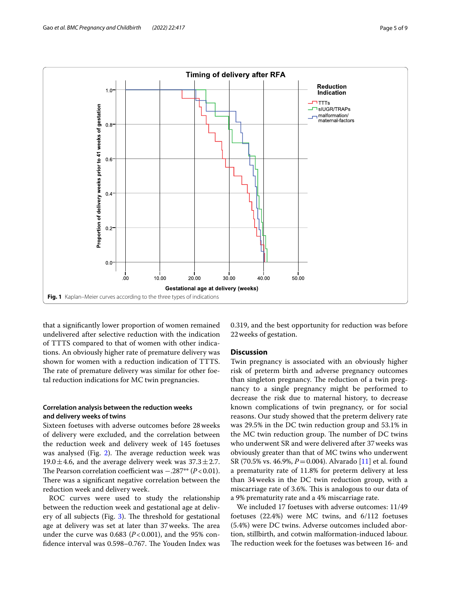

<span id="page-4-0"></span>that a signifcantly lower proportion of women remained undelivered after selective reduction with the indication of TTTS compared to that of women with other indications. An obviously higher rate of premature delivery was shown for women with a reduction indication of TTTS. The rate of premature delivery was similar for other foetal reduction indications for MC twin pregnancies.

# **Correlation analysis between the reduction weeks and delivery weeks of twins**

Sixteen foetuses with adverse outcomes before 28weeks of delivery were excluded, and the correlation between the reduction week and delivery week of 145 foetuses was analysed (Fig.  $2$ ). The average reduction week was 19.0 $\pm$ 4.6, and the average delivery week was 37.3 $\pm$ 2.7. The Pearson correlation coefficient was −.287<sup>\*\*</sup> (*P*<0.01). There was a significant negative correlation between the reduction week and delivery week.

ROC curves were used to study the relationship between the reduction week and gestational age at delivery of all subjects (Fig.  $3$ ). The threshold for gestational age at delivery was set at later than 37 weeks. The area under the curve was  $0.683$  ( $P < 0.001$ ), and the 95% confidence interval was 0.598–0.767. The Youden Index was 0.319, and the best opportunity for reduction was before 22weeks of gestation.

## **Discussion**

Twin pregnancy is associated with an obviously higher risk of preterm birth and adverse pregnancy outcomes than singleton pregnancy. The reduction of a twin pregnancy to a single pregnancy might be performed to decrease the risk due to maternal history, to decrease known complications of twin pregnancy, or for social reasons. Our study showed that the preterm delivery rate was 29.5% in the DC twin reduction group and 53.1% in the MC twin reduction group. The number of DC twins who underwent SR and were delivered after 37weeks was obviously greater than that of MC twins who underwent SR (70.5% vs. 46.9%, *P*=0.004). Alvarado [\[11](#page-7-10)] et al. found a prematurity rate of 11.8% for preterm delivery at less than 34weeks in the DC twin reduction group, with a miscarriage rate of 3.6%. This is analogous to our data of a 9% prematurity rate and a 4% miscarriage rate.

We included 17 foetuses with adverse outcomes: 11/49 foetuses (22.4%) were MC twins, and 6/112 foetuses (5.4%) were DC twins. Adverse outcomes included abortion, stillbirth, and cotwin malformation-induced labour. The reduction week for the foetuses was between 16- and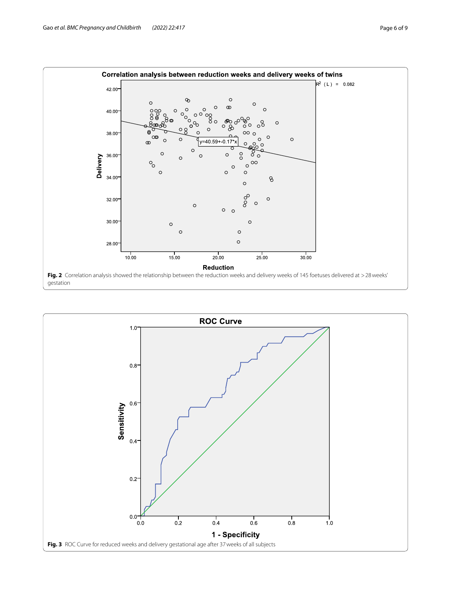

<span id="page-5-1"></span><span id="page-5-0"></span>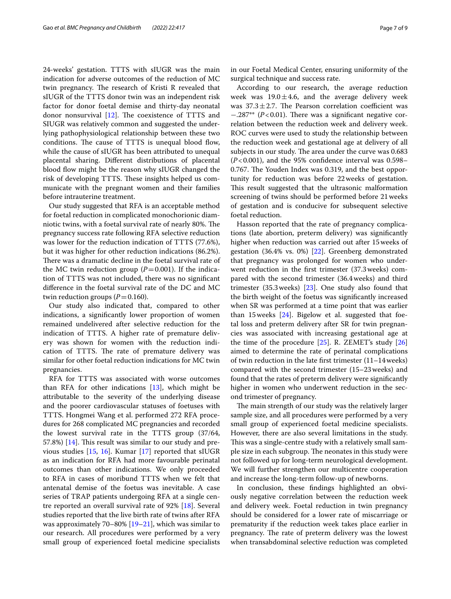24-weeks' gestation. TTTS with sIUGR was the main indication for adverse outcomes of the reduction of MC twin pregnancy. The research of Kristi R revealed that sIUGR of the TTTS donor twin was an independent risk factor for donor foetal demise and thirty-day neonatal donor nonsurvival  $[12]$  $[12]$ . The coexistence of TTTS and SIUGR was relatively common and suggested the underlying pathophysiological relationship between these two conditions. The cause of TTTS is unequal blood flow, while the cause of sIUGR has been attributed to unequal placental sharing. Diferent distributions of placental blood flow might be the reason why sIUGR changed the risk of developing TTTS. These insights helped us communicate with the pregnant women and their families before intrauterine treatment.

Our study suggested that RFA is an acceptable method for foetal reduction in complicated monochorionic diamniotic twins, with a foetal survival rate of nearly 80%. The pregnancy success rate following RFA selective reduction was lower for the reduction indication of TTTS (77.6%), but it was higher for other reduction indications (86.2%). There was a dramatic decline in the foetal survival rate of the MC twin reduction group  $(P=0.001)$ . If the indication of TTTS was not included, there was no signifcant diference in the foetal survival rate of the DC and MC twin reduction groups  $(P=0.160)$ .

Our study also indicated that, compared to other indications, a signifcantly lower proportion of women remained undelivered after selective reduction for the indication of TTTS. A higher rate of premature delivery was shown for women with the reduction indication of TTTS. The rate of premature delivery was similar for other foetal reduction indications for MC twin pregnancies.

RFA for TTTS was associated with worse outcomes than RFA for other indications  $[13]$ , which might be attributable to the severity of the underlying disease and the poorer cardiovascular statuses of foetuses with TTTS. Hongmei Wang et al. performed 272 RFA procedures for 268 complicated MC pregnancies and recorded the lowest survival rate in the TTTS group (37/64, 57.8%)  $[14]$  $[14]$  $[14]$ . This result was similar to our study and previous studies [\[15](#page-7-14), [16\]](#page-7-15). Kumar [[17\]](#page-7-16) reported that sIUGR as an indication for RFA had more favourable perinatal outcomes than other indications. We only proceeded to RFA in cases of moribund TTTS when we felt that antenatal demise of the foetus was inevitable. A case series of TRAP patients undergoing RFA at a single centre reported an overall survival rate of 92% [[18](#page-7-17)]. Several studies reported that the live birth rate of twins after RFA was approximately 70–80% [\[19](#page-7-18)[–21\]](#page-7-19), which was similar to our research. All procedures were performed by a very small group of experienced foetal medicine specialists in our Foetal Medical Center, ensuring uniformity of the surgical technique and success rate.

According to our research, the average reduction week was  $19.0 \pm 4.6$ , and the average delivery week was  $37.3 \pm 2.7$ . The Pearson correlation coefficient was −.287<sup>\*\*</sup> (*P*<0.01). There was a significant negative correlation between the reduction week and delivery week. ROC curves were used to study the relationship between the reduction week and gestational age at delivery of all subjects in our study. The area under the curve was 0.683  $(P<0.001)$ , and the 95% confidence interval was 0.598– 0.767. The Youden Index was 0.319, and the best opportunity for reduction was before 22weeks of gestation. This result suggested that the ultrasonic malformation screening of twins should be performed before 21weeks of gestation and is conducive for subsequent selective foetal reduction.

Hasson reported that the rate of pregnancy complications (late abortion, preterm delivery) was signifcantly higher when reduction was carried out after 15weeks of gestation (36.4% vs. 0%) [[22](#page-8-0)]. Greenberg demonstrated that pregnancy was prolonged for women who underwent reduction in the frst trimester (37.3weeks) compared with the second trimester (36.4weeks) and third trimester (35.3weeks) [\[23](#page-8-1)]. One study also found that the birth weight of the foetus was signifcantly increased when SR was performed at a time point that was earlier than 15 weeks  $[24]$ . Bigelow et al. suggested that foetal loss and preterm delivery after SR for twin pregnancies was associated with increasing gestational age at the time of the procedure [\[25\]](#page-8-3). R. ZEMET's study [[26](#page-8-4)] aimed to determine the rate of perinatal complications of twin reduction in the late frst trimester (11–14weeks) compared with the second trimester (15–23weeks) and found that the rates of preterm delivery were signifcantly higher in women who underwent reduction in the second trimester of pregnancy.

The main strength of our study was the relatively larger sample size, and all procedures were performed by a very small group of experienced foetal medicine specialists. However, there are also several limitations in the study. This was a single-centre study with a relatively small sample size in each subgroup. The neonates in this study were not followed up for long-term neurological development. We will further strengthen our multicentre cooperation and increase the long-term follow-up of newborns.

In conclusion, these fndings highlighted an obviously negative correlation between the reduction week and delivery week. Foetal reduction in twin pregnancy should be considered for a lower rate of miscarriage or prematurity if the reduction week takes place earlier in pregnancy. The rate of preterm delivery was the lowest when transabdominal selective reduction was completed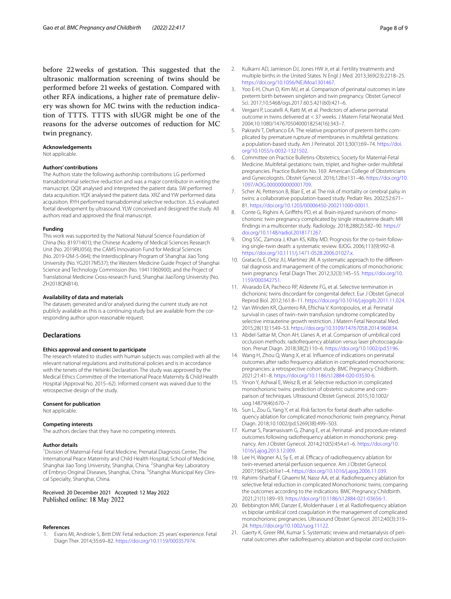before 22 weeks of gestation. This suggested that the ultrasonic malformation screening of twins should be performed before 21weeks of gestation. Compared with other RFA indications, a higher rate of premature delivery was shown for MC twins with the reduction indication of TTTS. TTTS with sIUGR might be one of the reasons for the adverse outcomes of reduction for MC twin pregnancy.

#### **Acknowledgements**

Not applicable.

#### **Authors' contributions**

The Authors state the following authorship contributions: LG performed transabdominal selective reduction and was a major contributor in writing the manuscript. QQX analysed and interpreted the patient data. SW performed data acquisition. YQX analysed the patient data. XRZ and YW performed data acquisition. RYH performed transabdominal selective reduction. JLS evaluated foetal development by ultrasound. YLW conceived and designed the study. All authors read and approved the fnal manuscript.

#### **Funding**

This work was supported by the National Natural Science Foundation of China (No. 81971401); the Chinese Academy of Medical Sciences Research Unit (No. 2019RU056); the CAMS Innovation Fund for Medical Sciences (No. 2019-I2M-5-064); the Interdisciplinary Program of Shanghai Jiao Tong University (No. YG2017MS37); the Western Medicine Guide Project of Shanghai Science and Technology Commission (No. 19411960900); and the Project of Translational Medicine Cross-research Fund, Shanghai JiaoTong University (No. ZH2018QNB14).

#### **Availability of data and materials**

The datasets generated and/or analysed during the current study are not publicly available as this is a continuing study but are available from the corresponding author upon reasonable request.

#### **Declarations**

#### **Ethics approval and consent to participate**

The research related to studies with human subjects was compiled with all the relevant national regulations and institutional policies and is in accordance with the tenets of the Helsinki Declaration. The study was approved by the Medical Ethics Committee of the International Peace Maternity & Child Health Hospital (Approval No. 2015–62). Informed consent was waived due to the retrospective design of the study.

#### **Consent for publication**

Not applicable.

#### **Competing interests**

The authors declare that they have no competing interests.

#### **Author details**

<sup>1</sup> Division of Maternal-Fetal Fetal Medicine, Prenatal Diagnosis Center, The International Peace Maternity and Child Health Hospital, School of Medicine, Shanghai Jiao Tong University, Shanghai, China. <sup>2</sup>Shanghai Key Laboratory of Embryo Original Diseases, Shanghai, China. <sup>3</sup>Shanghai Municipal Key Clinical Specialty, Shanghai, China.

Received: 20 December 2021 Accepted: 12 May 2022

#### **References**

<span id="page-7-0"></span>1. Evans MI, Andriole S, Britt DW. Fetal reduction: 25 years' experience. Fetal Diagn Ther. 2014;35:69–82. [https://doi.org/10.1159/000357974.](https://doi.org/10.1159/000357974)

- <span id="page-7-1"></span>2. Kulkarni AD, Jamieson DJ, Jones HW Jr, et al. Fertility treatments and multiple births in the United States. N Engl J Med. 2013;369(23):2218–25. <https://doi.org/10.1056/NEJMoa1301467>.
- <span id="page-7-2"></span>3. Yoo E-H, Chun D, Kim MJ, et al. Comparison of perinatal outcomes in late preterm birth between singleton and twin pregnancy. Obstet Gynecol Sci. 2017;10.5468/ogs.2017.60.5.421(60):421–6.
- <span id="page-7-3"></span>4. Vergani P, Locatelli A, Ratti M, et al. Predictors of adverse perinatal outcome in twins delivered at < 37 weeks. J Matern Fetal Neonatal Med. 2004;10.1080/14767050400018254(16):343–7.
- <span id="page-7-4"></span>5. Pakrashi T, Defranco EA. The relative proportion of preterm births complicated by premature rupture of membranes in multifetal gestations: a population-based study. Am J Perinatol. 2013;30(1):69–74. [https://doi.](https://doi.org/10.1055/s-0032-1321502) [org/10.1055/s-0032-1321502.](https://doi.org/10.1055/s-0032-1321502)
- <span id="page-7-5"></span>6. Committee on Practice Bulletins-Obstetrics; Society for Maternal-Fetal Medicine. Multifetal gestations: twin, triplet, and higher-order multifetal pregnancies. Practice Bulletin No. 169. American College of Obstetricians and Gynecologists. Obstet Gynecol. 2016;128:e131–46. [https://doi.org/10.](https://doi.org/10.1097/AOG.0000000000001709) [1097/AOG.0000000000001709.](https://doi.org/10.1097/AOG.0000000000001709)
- <span id="page-7-6"></span>7. Scher AI, Petterson B, Blair E, et al. The risk of mortality or cerebral palsy in twins: a collaborative population-based study. Pediatr Res. 2002;52:671– 81. [https://doi.org/10.1203/00006450-200211000-00011.](https://doi.org/10.1203/00006450-200211000-00011)
- <span id="page-7-7"></span>8. Conte G, Righini A, Griffiths PD, et al. Brain-injured survivors of monochorionic twin pregnancy complicated by single intrauterine death: MR fndings in a multicenter study. Radiology. 2018;288(2):582–90. [https://](https://doi.org/10.1148/radiol.2018171267) [doi.org/10.1148/radiol.2018171267](https://doi.org/10.1148/radiol.2018171267).
- <span id="page-7-8"></span>9. Ong SSC, Zamora J, Khan KS, Kilby MD. Prognosis for the co-twin following single-twin death: a systematic review. BJOG. 2006;113(9):992–8. [https://doi.org/10.1111/j.1471-0528.2006.01027.x.](https://doi.org/10.1111/j.1471-0528.2006.01027.x)
- <span id="page-7-9"></span>10. Gratacós E, Ortiz JU, Martinez JM. A systematic approach to the differential diagnosis and management of the complications of monochorionic twin pregnancy. Fetal Diagn Ther. 2012;32(3):145–55. [https://doi.org/10.](https://doi.org/10.1159/000342751) [1159/000342751.](https://doi.org/10.1159/000342751)
- <span id="page-7-10"></span>11. Alvarado EA, Pacheco RP, Alderete FG, et al. Selective termination in dichorionic twins discordant for congenital defect. Eur J Obstet Gynecol Reprod Biol. 2012;161:8–11. [https://doi.org/10.1016/j.ejogrb.2011.11.024.](https://doi.org/10.1016/j.ejogrb.2011.11.024)
- <span id="page-7-11"></span>12. Van Winden KR, Quintero RA, Eftichia V. Kontopoulos, et al. Perinatal survival in cases of twin–twin transfusion syndrome complicated by selective intrauterine growth restriction. J Matern Fetal Neonatal Med. 2015;28(13):1549–53. [https://doi.org/10.3109/14767058.2014.960834.](https://doi.org/10.3109/14767058.2014.960834)
- <span id="page-7-12"></span>13. Abdel-Sattar M, Chon AH, Llanes A, et al. Comparison of umbilical cord occlusion methods: radiofrequency ablation versus laser photocoagula‑ tion. Prenat Diagn. 2018;38(2):110–6. [https://doi.org/10.1002/pd.5196.](https://doi.org/10.1002/pd.5196)
- <span id="page-7-13"></span>14. Wang H, Zhou Q, Wang X, et al. Infuence of indications on perinatal outcomes after radio frequency ablation in complicated monochorionic pregnancies: a retrospective cohort study. BMC Pregnancy Childbirth. 2021;21:41–8. [https://doi.org/10.1186/s12884-020-03530-6.](https://doi.org/10.1186/s12884-020-03530-6)
- <span id="page-7-14"></span>15. Yinon Y, Ashwal E, Weisz B, et al. Selective reduction in complicated monochorionic twins: prediction of obstetric outcome and comparison of techniques. Ultrasound Obstet Gynecol. 2015;10.1002/ uog.14879(46):670–7.
- <span id="page-7-15"></span>16. Sun L, Zou G, Yang Y, et al. Risk factors for foetal death after radiofrequency ablation for complicated monochorionic twin pregnancy. Prenat Diagn. 2018;10.1002/pd.5269(38):499–503.
- <span id="page-7-16"></span>17. Kumar S, Paramasivam G, Zhang E, et al. Perinatal- and procedure-related outcomes following radiofrequency ablation in monochorionic pregnancy. Am J Obstet Gynecol. 2014;210(5):454.e1–6. [https://doi.org/10.](https://doi.org/10.1016/j.ajog.2013.12.009) [1016/j.ajog.2013.12.009.](https://doi.org/10.1016/j.ajog.2013.12.009)
- <span id="page-7-17"></span>18. Lee H, Wagner AJ, Sy E, et al. Efficacy of radiofreguency ablation for twin-reversed arterial perfusion sequence. Am J Obstet Gynecol. 2007;196(5):459.e1–4. <https://doi.org/10.1016/j.ajog.2006.11.039>.
- <span id="page-7-18"></span>19. Rahimi-Sharbaf F, Ghaemi M, Nassr AA, et al. Radiofrequency ablation for selective fetal reduction in complicated Monochorionic twins; comparing the outcomes according to the indications. BMC Pregnancy Childbirth. 2021;21(1):189–93. [https://doi.org/10.1186/s12884-021-03656-1.](https://doi.org/10.1186/s12884-021-03656-1)
- 20. Bebbington MW, Danzer E, Moldenhauer J, et al. Radiofrequency ablation vs bipolar umbilical cord coagulation in the management of complicated monochorionic pregnancies. Ultrasound Obstet Gynecol. 2012;40(3):319– 24. <https://doi.org/10.1002/uog.11122>.
- <span id="page-7-19"></span>21. Gaerty K, Greer RM, Kumar S. Systematic review and metaanalysis of perinatal outcomes after radiofrequency ablation and bipolar cord occlusion